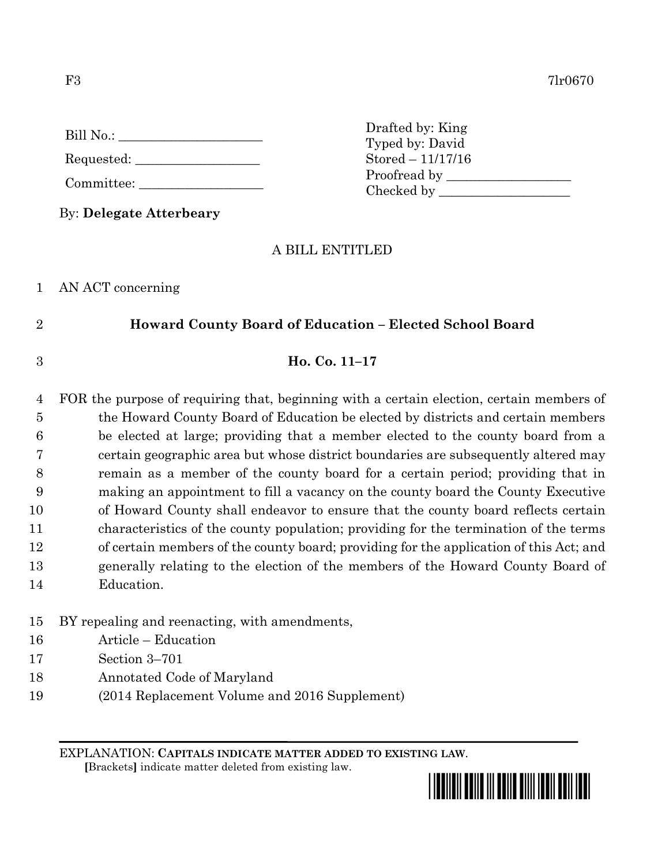| Bill No.: |  |
|-----------|--|
|           |  |

Requested:

| Committee: |  |  |
|------------|--|--|
|            |  |  |

By: **Delegate Atterbeary**

### A BILL ENTITLED

1 AN ACT concerning

## 2 **Howard County Board of Education – Elected School Board**

### 3 **Ho. Co. 11–17**

 FOR the purpose of requiring that, beginning with a certain election, certain members of the Howard County Board of Education be elected by districts and certain members be elected at large; providing that a member elected to the county board from a certain geographic area but whose district boundaries are subsequently altered may remain as a member of the county board for a certain period; providing that in making an appointment to fill a vacancy on the county board the County Executive of Howard County shall endeavor to ensure that the county board reflects certain characteristics of the county population; providing for the termination of the terms of certain members of the county board; providing for the application of this Act; and generally relating to the election of the members of the Howard County Board of Education.

### 15 BY repealing and reenacting, with amendments,

- 16 Article Education
- 17 Section 3–701
- 18 Annotated Code of Maryland
- 19 (2014 Replacement Volume and 2016 Supplement)

EXPLANATION: **CAPITALS INDICATE MATTER ADDED TO EXISTING LAW**.

 **[**Brackets**]** indicate matter deleted from existing law.



Drafted by: King Typed by: David Stored – 11/17/16 Proofread by Checked by \_\_\_\_\_\_\_\_\_\_\_\_\_\_\_\_\_\_\_\_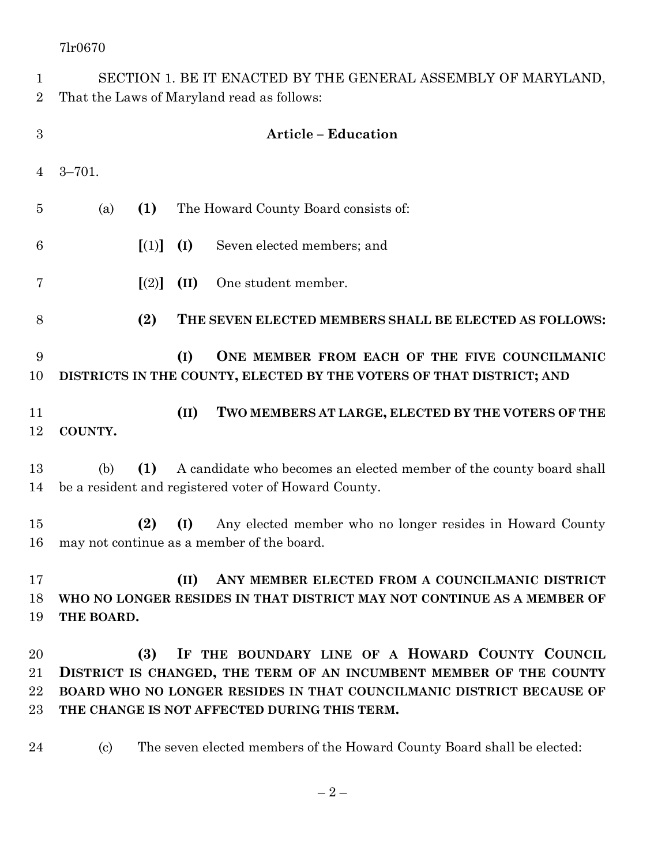| $\mathbf 1$<br>$\overline{2}$ | SECTION 1. BE IT ENACTED BY THE GENERAL ASSEMBLY OF MARYLAND,<br>That the Laws of Maryland read as follows:                                                                                                                                          |  |  |
|-------------------------------|------------------------------------------------------------------------------------------------------------------------------------------------------------------------------------------------------------------------------------------------------|--|--|
| $\boldsymbol{3}$              | <b>Article - Education</b>                                                                                                                                                                                                                           |  |  |
| 4                             | $3 - 701.$                                                                                                                                                                                                                                           |  |  |
| 5                             | (1)<br>The Howard County Board consists of:<br>(a)                                                                                                                                                                                                   |  |  |
| 6                             | $\left[ (1) \right]$<br>(I)<br>Seven elected members; and                                                                                                                                                                                            |  |  |
| 7                             | (II)<br>One student member.<br>[(2)]                                                                                                                                                                                                                 |  |  |
| 8                             | (2)<br>THE SEVEN ELECTED MEMBERS SHALL BE ELECTED AS FOLLOWS:                                                                                                                                                                                        |  |  |
| 9<br>10                       | (I)<br>ONE MEMBER FROM EACH OF THE FIVE COUNCILMANIC<br>DISTRICTS IN THE COUNTY, ELECTED BY THE VOTERS OF THAT DISTRICT; AND                                                                                                                         |  |  |
| 11<br>12                      | (II)<br>TWO MEMBERS AT LARGE, ELECTED BY THE VOTERS OF THE<br>COUNTY.                                                                                                                                                                                |  |  |
| 13<br>14                      | (1)<br>A candidate who becomes an elected member of the county board shall<br>(b)<br>be a resident and registered voter of Howard County.                                                                                                            |  |  |
| 15<br>16                      | (I)<br>(2)<br>Any elected member who no longer resides in Howard County<br>may not continue as a member of the board.                                                                                                                                |  |  |
| 17<br>18<br>19                | ANY MEMBER ELECTED FROM A COUNCILMANIC DISTRICT<br>(II)<br>WHO NO LONGER RESIDES IN THAT DISTRICT MAY NOT CONTINUE AS A MEMBER OF<br>THE BOARD.                                                                                                      |  |  |
| 20<br>21<br>22<br>$23\,$      | (3)<br>IF THE BOUNDARY LINE OF A HOWARD COUNTY COUNCIL<br>DISTRICT IS CHANGED, THE TERM OF AN INCUMBENT MEMBER OF THE COUNTY<br>BOARD WHO NO LONGER RESIDES IN THAT COUNCILMANIC DISTRICT BECAUSE OF<br>THE CHANGE IS NOT AFFECTED DURING THIS TERM. |  |  |
| 24                            | The seven elected members of the Howard County Board shall be elected:<br>$\left( \mathrm{c}\right)$                                                                                                                                                 |  |  |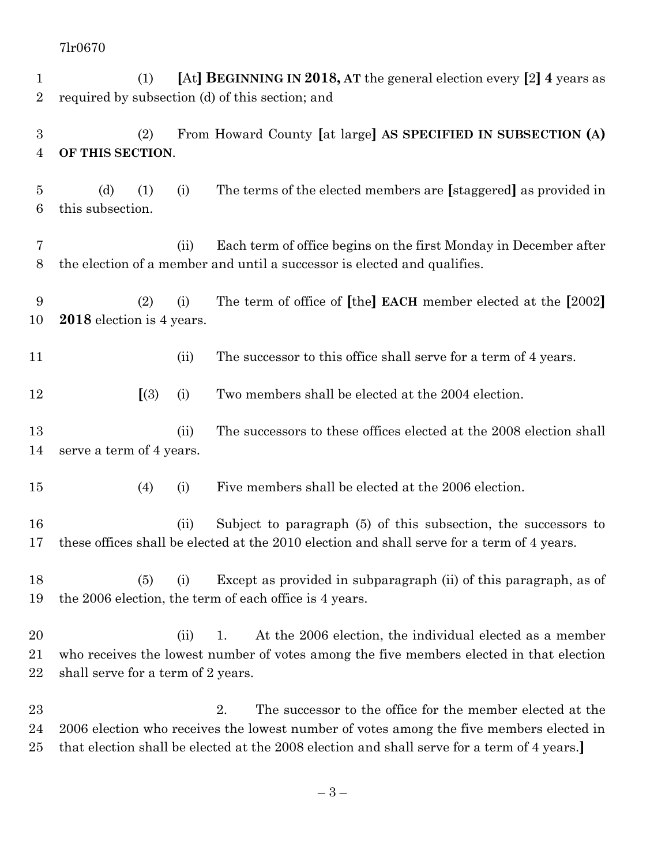(1) **[**At**] BEGINNING IN 2018, AT** the general election every **[**2**] 4** years as required by subsection (d) of this section; and (2) From Howard County **[**at large**] AS SPECIFIED IN SUBSECTION (A) OF THIS SECTION**. (d) (1) (i) The terms of the elected members are **[**staggered**]** as provided in this subsection. (ii) Each term of office begins on the first Monday in December after the election of a member and until a successor is elected and qualifies. (2) (i) The term of office of **[**the**] EACH** member elected at the **[**2002**] 2018** election is 4 years. 11 (ii) The successor to this office shall serve for a term of 4 years. **[**(3) (i) Two members shall be elected at the 2004 election. 13 (ii) The successors to these offices elected at the 2008 election shall serve a term of 4 years. (4) (i) Five members shall be elected at the 2006 election. (ii) Subject to paragraph (5) of this subsection, the successors to these offices shall be elected at the 2010 election and shall serve for a term of 4 years. (5) (i) Except as provided in subparagraph (ii) of this paragraph, as of the 2006 election, the term of each office is 4 years. (ii) 1. At the 2006 election, the individual elected as a member who receives the lowest number of votes among the five members elected in that election 22 shall serve for a term of 2 years. 23 2. The successor to the office for the member elected at the 2006 election who receives the lowest number of votes among the five members elected in

that election shall be elected at the 2008 election and shall serve for a term of 4 years.**]**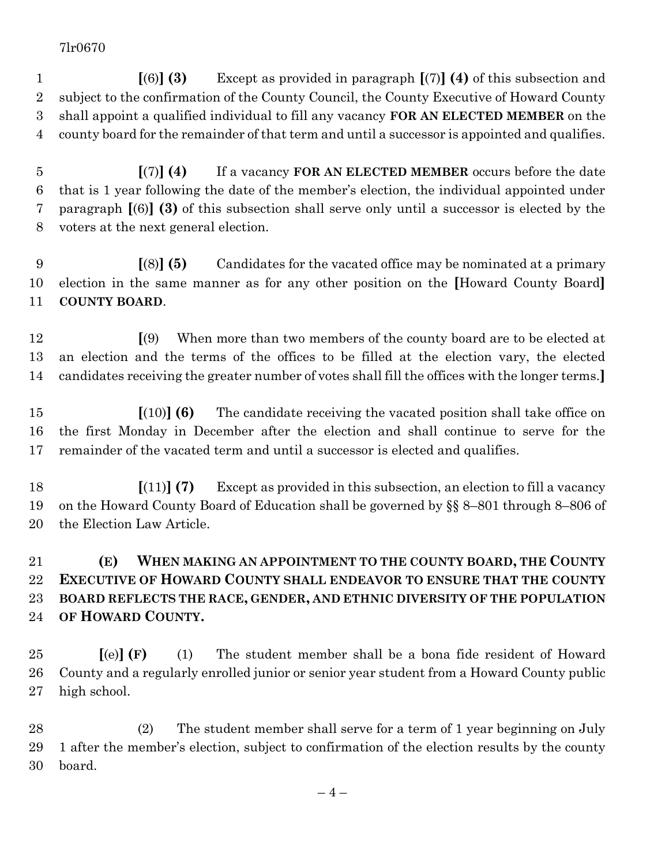**[**(6)**] (3)** Except as provided in paragraph **[**(7)**] (4)** of this subsection and subject to the confirmation of the County Council, the County Executive of Howard County shall appoint a qualified individual to fill any vacancy **FOR AN ELECTED MEMBER** on the county board for the remainder of that term and until a successor is appointed and qualifies.

 **[**(7)**] (4)** If a vacancy **FOR AN ELECTED MEMBER** occurs before the date that is 1 year following the date of the member's election, the individual appointed under paragraph **[**(6)**] (3)** of this subsection shall serve only until a successor is elected by the voters at the next general election.

 **[**(8)**] (5)** Candidates for the vacated office may be nominated at a primary election in the same manner as for any other position on the **[**Howard County Board**] COUNTY BOARD**.

 **[**(9) When more than two members of the county board are to be elected at an election and the terms of the offices to be filled at the election vary, the elected candidates receiving the greater number of votes shall fill the offices with the longer terms.**]**

 **[**(10)**] (6)** The candidate receiving the vacated position shall take office on the first Monday in December after the election and shall continue to serve for the remainder of the vacated term and until a successor is elected and qualifies.

 **[**(11)**] (7)** Except as provided in this subsection, an election to fill a vacancy on the Howard County Board of Education shall be governed by §§ 8–801 through 8–806 of the Election Law Article.

# **(E) WHEN MAKING AN APPOINTMENT TO THE COUNTY BOARD, THE COUNTY EXECUTIVE OF HOWARD COUNTY SHALL ENDEAVOR TO ENSURE THAT THE COUNTY BOARD REFLECTS THE RACE, GENDER, AND ETHNIC DIVERSITY OF THE POPULATION OF HOWARD COUNTY.**

 **[**(e)**] (F)** (1) The student member shall be a bona fide resident of Howard County and a regularly enrolled junior or senior year student from a Howard County public high school.

 (2) The student member shall serve for a term of 1 year beginning on July 1 after the member's election, subject to confirmation of the election results by the county board.

 $-4-$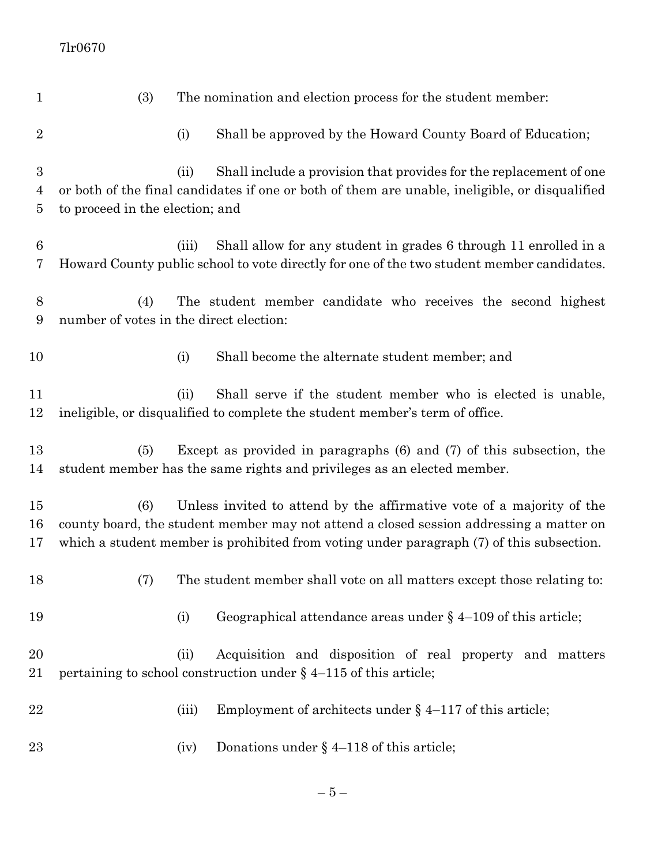| $\mathbf 1$                           | (3)                                            |       | The nomination and election process for the student member:                                                                                                                                                                                                  |
|---------------------------------------|------------------------------------------------|-------|--------------------------------------------------------------------------------------------------------------------------------------------------------------------------------------------------------------------------------------------------------------|
| $\overline{2}$                        |                                                | (i)   | Shall be approved by the Howard County Board of Education;                                                                                                                                                                                                   |
| 3<br>$\overline{4}$<br>$\overline{5}$ | to proceed in the election; and                | (ii)  | Shall include a provision that provides for the replacement of one<br>or both of the final candidates if one or both of them are unable, ineligible, or disqualified                                                                                         |
| $6\phantom{.}6$<br>7                  |                                                | (iii) | Shall allow for any student in grades 6 through 11 enrolled in a<br>Howard County public school to vote directly for one of the two student member candidates.                                                                                               |
| 8<br>9                                | (4)<br>number of votes in the direct election: |       | The student member candidate who receives the second highest                                                                                                                                                                                                 |
| 10                                    |                                                | (i)   | Shall become the alternate student member; and                                                                                                                                                                                                               |
| 11<br>12                              |                                                | (ii)  | Shall serve if the student member who is elected is unable,<br>ineligible, or disqualified to complete the student member's term of office.                                                                                                                  |
| 13<br>14                              | (5)                                            |       | Except as provided in paragraphs $(6)$ and $(7)$ of this subsection, the<br>student member has the same rights and privileges as an elected member.                                                                                                          |
| $15\,$<br>16<br>17                    | (6)                                            |       | Unless invited to attend by the affirmative vote of a majority of the<br>county board, the student member may not attend a closed session addressing a matter on<br>which a student member is prohibited from voting under paragraph (7) of this subsection. |
| 18                                    | (7)                                            |       | The student member shall vote on all matters except those relating to:                                                                                                                                                                                       |
| 19                                    |                                                | (i)   | Geographical attendance areas under $\S$ 4-109 of this article;                                                                                                                                                                                              |
| 20<br>21                              |                                                | (ii)  | Acquisition and disposition of real property and matters<br>pertaining to school construction under $\S$ 4-115 of this article;                                                                                                                              |
| 22                                    |                                                | (iii) | Employment of architects under $\S$ 4–117 of this article;                                                                                                                                                                                                   |
| 23                                    |                                                | (iv)  | Donations under $\S$ 4–118 of this article;                                                                                                                                                                                                                  |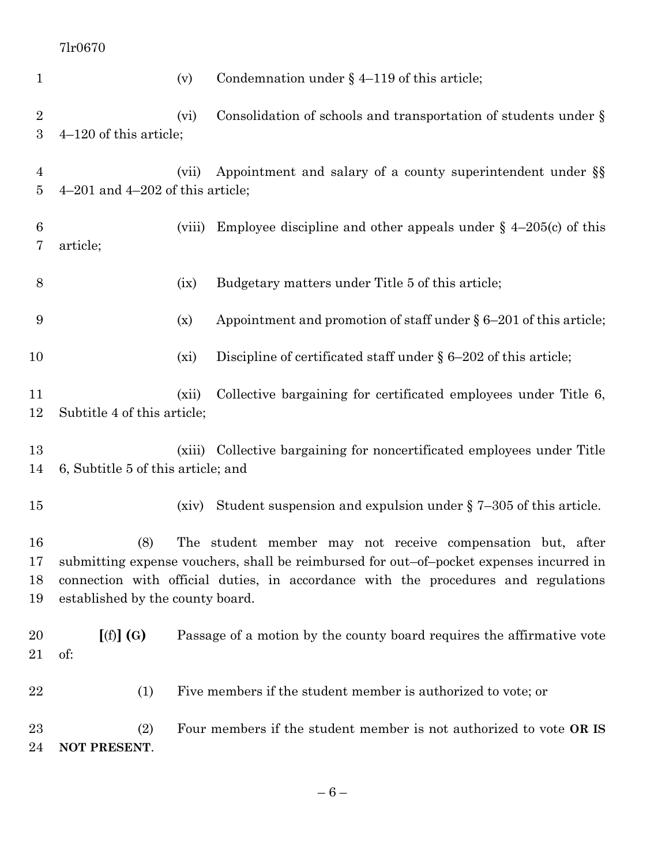| $\mathbf{1}$             |                                         | (v)     | Condemnation under $\S$ 4–119 of this article;                                                                                                                                                                                              |
|--------------------------|-----------------------------------------|---------|---------------------------------------------------------------------------------------------------------------------------------------------------------------------------------------------------------------------------------------------|
| $\overline{2}$<br>3      | $4-120$ of this article;                | (vi)    | Consolidation of schools and transportation of students under $\S$                                                                                                                                                                          |
| $\overline{4}$<br>5      | $4-201$ and $4-202$ of this article;    | (vii)   | Appointment and salary of a county superintendent under §§                                                                                                                                                                                  |
| 6<br>7                   | article;                                | (viii)  | Employee discipline and other appeals under $\S$ 4-205(c) of this                                                                                                                                                                           |
| 8                        |                                         | (ix)    | Budgetary matters under Title 5 of this article;                                                                                                                                                                                            |
| 9                        |                                         | (x)     | Appointment and promotion of staff under $\S 6-201$ of this article;                                                                                                                                                                        |
| 10                       |                                         | $(x_i)$ | Discipline of certificated staff under $\S 6-202$ of this article;                                                                                                                                                                          |
| 11<br>12                 | Subtitle 4 of this article;             | (xii)   | Collective bargaining for certificated employees under Title 6,                                                                                                                                                                             |
| 13<br>14                 | 6, Subtitle 5 of this article; and      |         | (xiii) Collective bargaining for noncertificated employees under Title                                                                                                                                                                      |
| 15                       |                                         | (xiv)   | Student suspension and expulsion under $\S$ 7-305 of this article.                                                                                                                                                                          |
| 16<br>$17\,$<br>18<br>19 | (8)<br>established by the county board. |         | The student member may not receive compensation but, after<br>submitting expense vouchers, shall be reimbursed for out-of-pocket expenses incurred in<br>connection with official duties, in accordance with the procedures and regulations |
| 20<br>21                 | [(f)](G)<br>of:                         |         | Passage of a motion by the county board requires the affirmative vote                                                                                                                                                                       |
| 22                       | (1)                                     |         | Five members if the student member is authorized to vote; or                                                                                                                                                                                |
| 23<br>24                 | (2)<br>NOT PRESENT.                     |         | Four members if the student member is not authorized to vote OR IS                                                                                                                                                                          |